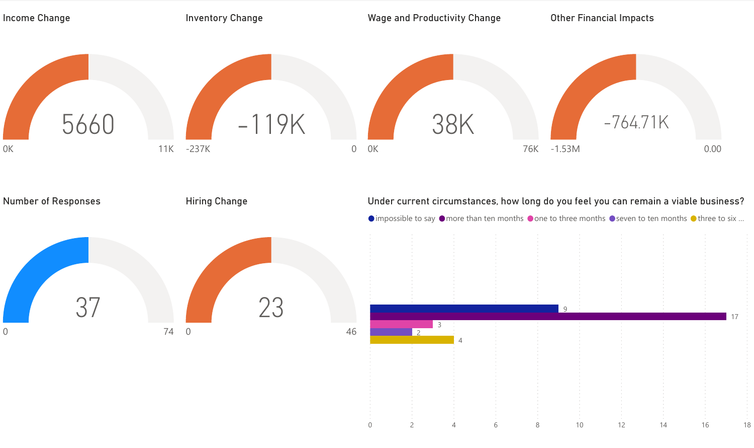